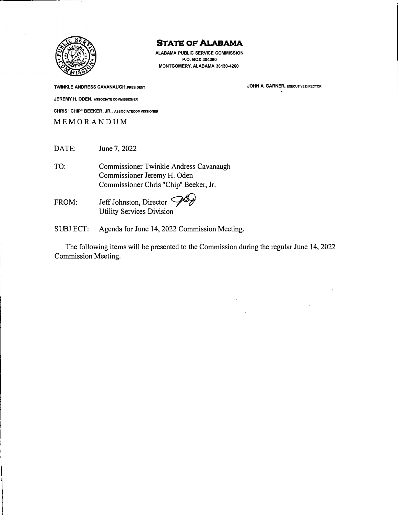

**ALABAMA PUBLIC SERVICE COMMISSION P.O. BOX 304260 MONTGOMERY, ALABAMA 36130-4260** 

**TWINKLE ANDRESS CAVANAUGH, PRESIDENT JEREMY H. ODEN, ASSOCIATE COMMISSIONER CHRIS "CHIP" BEEKER, JR., ASSOCIATECOMMISSIONER**  MEMORANDU M

DATE: June 7, 2022

TO: Commissioner Twinkle Andress Cavanaugh Commissioner Jeremy H. Oden Commissioner Chris "Chip" Beeker, Jr.

FROM: Jeff Johnston, Director  $\mathcal{P}$ Utility Services Division

SUBJECT: Agenda for June 14, 2022 Commission Meeting.

The following items will be presented to the Commission during the regular June 14, 2022 Commission Meeting.

**JOHN A. GARNER, EXECUTIVE DIRECTOR**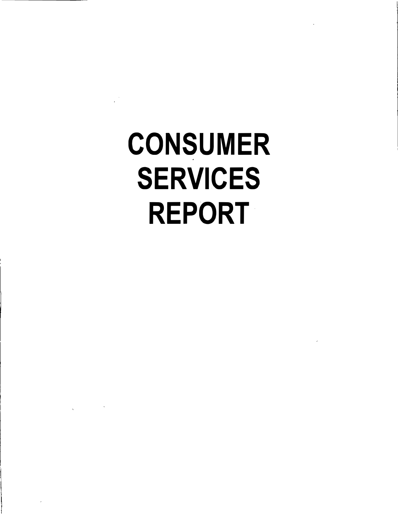# CONSUMER SERVICES REPORT·

 $\delta$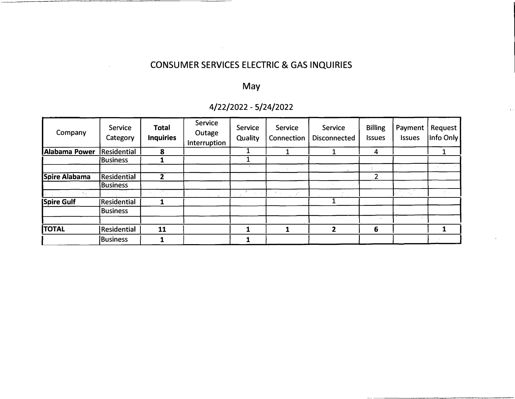# CONSUMER SERVICES ELECTRIC & GAS INQUIRIES

# May

# 4/22/2022 - 5/24/2022

| Company                   | Service<br>Category | <b>Total</b><br><b>Inquiries</b> | Service<br>Outage<br>Interruption | Service<br>Quality                          | Service<br>Connection | Service<br><b>Disconnected</b> | <b>Billing</b><br><b>Issues</b> | Payment<br><b>Issues</b> | Request<br>Info Only |
|---------------------------|---------------------|----------------------------------|-----------------------------------|---------------------------------------------|-----------------------|--------------------------------|---------------------------------|--------------------------|----------------------|
| Alabama Power Residential |                     | 8                                |                                   |                                             |                       |                                | 4                               |                          |                      |
|                           | Business            |                                  |                                   |                                             |                       |                                |                                 |                          |                      |
|                           |                     |                                  |                                   |                                             |                       |                                |                                 |                          | $\rightarrow$        |
| Spire Alabama             | <b>Residential</b>  | 2                                |                                   |                                             |                       |                                | າ                               |                          |                      |
|                           | <b>Business</b>     |                                  |                                   |                                             |                       |                                |                                 |                          |                      |
| 光光                        |                     |                                  |                                   | $\sim \lambda_{\rm m} \sim \lambda_{\rm m}$ | $\omega = 800\,\mu m$ |                                |                                 | is.                      |                      |
| <b>Spire Gulf</b>         | Residential         |                                  |                                   |                                             |                       |                                |                                 |                          |                      |
|                           | <b>Business</b>     |                                  |                                   |                                             |                       |                                |                                 |                          |                      |
| <b>TOTAL</b>              | Residential         | 11                               |                                   | 1                                           |                       | $\mathbf{2}$                   | 6                               |                          |                      |
|                           | Business            |                                  |                                   |                                             |                       |                                |                                 |                          |                      |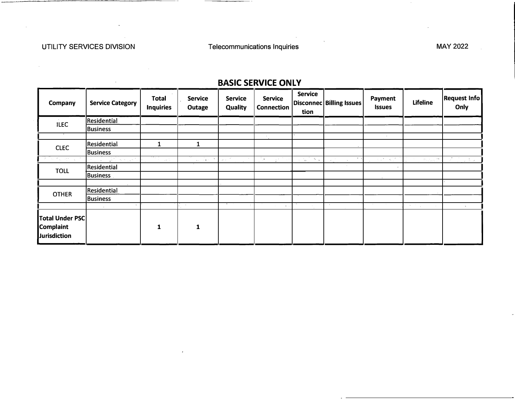$\lambda$  .

| <b>Company</b>                                                    | <b>Service Category</b> | <b>Total</b><br><b>Inquiries</b>     | <b>Service</b><br>Outage | <b>Service</b><br><b>Quality</b>                                                      | <b>Service</b><br><b>Connection</b>                             | <b>Service</b><br>tion                                        | Disconnec Billing Issues   | <b>Payment</b><br><b>Issues</b>                                          | <b>Lifeline</b>                                                                                    | <b>Request Info</b><br>Only               |
|-------------------------------------------------------------------|-------------------------|--------------------------------------|--------------------------|---------------------------------------------------------------------------------------|-----------------------------------------------------------------|---------------------------------------------------------------|----------------------------|--------------------------------------------------------------------------|----------------------------------------------------------------------------------------------------|-------------------------------------------|
| <b>ILEC</b>                                                       | Residential             |                                      |                          |                                                                                       |                                                                 |                                                               |                            |                                                                          |                                                                                                    |                                           |
|                                                                   | <b>Business</b>         |                                      |                          |                                                                                       |                                                                 |                                                               |                            |                                                                          |                                                                                                    |                                           |
|                                                                   |                         |                                      |                          |                                                                                       | $\sim$                                                          |                                                               |                            | $\sim$                                                                   |                                                                                                    |                                           |
| <b>CLEC</b>                                                       | Residential             |                                      |                          |                                                                                       |                                                                 |                                                               |                            |                                                                          |                                                                                                    |                                           |
|                                                                   | <b>Business</b>         |                                      |                          |                                                                                       |                                                                 |                                                               |                            |                                                                          |                                                                                                    |                                           |
| The Machine Card                                                  | I (Missier              | $\frac{1}{\sqrt{2}}$<br><b>Sales</b> | al Carlott               | $\mathbf{C}_{\mathcal{A},\mathcal{A}}$ , $\overline{\mathcal{A}}$ , and<br><b>COL</b> | $\mathcal{L}_{\mathcal{P}}\left(\mathbb{Z}^n\right)$<br>العرائد | $\frac{1}{2}$ , $\frac{1}{2}$ , $\frac{1}{2}$ , $\frac{1}{2}$ | $-4 - 1$<br>$\sim 10^{-1}$ | $\gamma \propto \frac{8}{3} \approx 4 \frac{1}{3} \frac{8}{3} \approx 7$ | $\mathcal{D}_{\mathcal{F}_\text{c},\mathcal{F}_\text{m}}$ , $\mathcal{F}^{\mathbf{k},\mathcal{F}}$ | $\omega = \frac{1}{2} \omega^2 + \mu^2$ . |
| <b>TOLL</b>                                                       | Residential             |                                      |                          |                                                                                       |                                                                 |                                                               |                            |                                                                          |                                                                                                    |                                           |
|                                                                   | Business                |                                      |                          |                                                                                       |                                                                 |                                                               |                            |                                                                          |                                                                                                    |                                           |
|                                                                   |                         |                                      |                          |                                                                                       |                                                                 |                                                               |                            |                                                                          |                                                                                                    |                                           |
| <b>OTHER</b>                                                      | Residential             |                                      |                          |                                                                                       |                                                                 |                                                               |                            |                                                                          |                                                                                                    |                                           |
|                                                                   | <b>Business</b>         |                                      |                          |                                                                                       |                                                                 |                                                               |                            |                                                                          |                                                                                                    |                                           |
|                                                                   | $\mathbf{v}$            |                                      |                          |                                                                                       | $\mathbf{A}=\mathbf{A}$                                         |                                                               |                            |                                                                          | George S                                                                                           | $\mathbf{A}_{\mathbf{r}}$ .               |
| <b>Total Under PSC</b><br><b>Complaint</b><br><b>Jurisdiction</b> |                         | 1                                    | 1                        |                                                                                       |                                                                 |                                                               |                            |                                                                          |                                                                                                    |                                           |

# **BASIC SERVICE ONLY**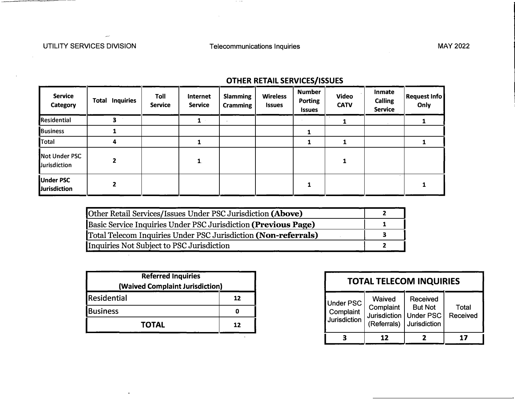$-$ 

| <b>Service</b><br><b>Category</b>       | <b>Inquiries</b><br>Total | Toll<br><b>Service</b> | <b>Internet</b><br><b>Service</b> | <b>Slamming</b><br><b>Cramming</b> | <b>Wireless</b><br><b>Issues</b> | <b>Number</b><br><b>Porting</b><br><b>Issues</b> | <b>Video</b><br><b>CATV</b> | Inmate<br><b>Calling</b><br><b>Service</b> | <b>Request Info</b><br>Only |
|-----------------------------------------|---------------------------|------------------------|-----------------------------------|------------------------------------|----------------------------------|--------------------------------------------------|-----------------------------|--------------------------------------------|-----------------------------|
| Residential                             | 3                         |                        | 1                                 |                                    |                                  |                                                  |                             |                                            |                             |
| <b>Business</b>                         |                           |                        |                                   |                                    |                                  |                                                  |                             |                                            |                             |
| Total                                   | 4                         |                        |                                   |                                    |                                  |                                                  |                             |                                            |                             |
| Not Under PSC<br>Jurisdiction           |                           |                        | 1                                 |                                    |                                  |                                                  | 1                           |                                            |                             |
| <b>Under PSC</b><br><b>Jurisdiction</b> |                           |                        |                                   |                                    |                                  |                                                  |                             |                                            |                             |

# **OTHER RETAIL SERVICES/ISSUES**

| Other Retail Services/Issues Under PSC Jurisdiction (Above)    |  |
|----------------------------------------------------------------|--|
| Basic Service Inquiries Under PSC Jurisdiction (Previous Page) |  |
| Total Telecom Inquiries Under PSC Jurisdiction (Non-referrals) |  |
| Inquiries Not Subject to PSC Jurisdiction                      |  |

| Residential<br>12<br>Under PSC<br><b>Business</b><br>Complaint<br>0             |
|---------------------------------------------------------------------------------|
|                                                                                 |
| Jurisdiction   Under PSC  <br>Jurisdiction<br>(Referrals)<br><b>TOTAL</b><br>12 |

|                                                      | <b>TOTAL TELECOM INQUIRIES</b>                            |                                                                              |                   |  |  |  |  |  |  |
|------------------------------------------------------|-----------------------------------------------------------|------------------------------------------------------------------------------|-------------------|--|--|--|--|--|--|
| <b>Under PSC</b><br>Complaint<br><b>Jurisdiction</b> | Waived<br>Complaint<br><b>Jurisdiction</b><br>(Referrals) | <b>Received</b><br><b>But Not</b><br><b>Under PSC</b><br><b>Jurisdiction</b> | Total<br>Received |  |  |  |  |  |  |
|                                                      | 17                                                        |                                                                              | 17                |  |  |  |  |  |  |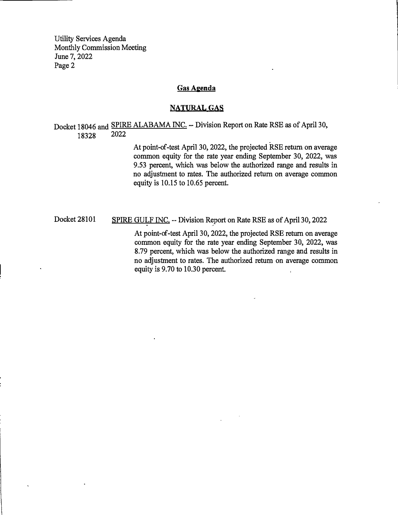#### **Gas Agenda**

#### **NATURAL GAS**

Docket 18046 and SPIRE ALABAMA INC. -- Division Report on Rate RSE as of April 30,<br>18328 2022 18328

> At point-of-test April 30, 2022, the projected RSE return on average common equity for the rate year ending September 30, 2022, was 9.53 percent, which was below the authorized range and results in no adjustment to rates. The authorized return on average common equity is 10.15 to 10.65 percent.

Docket 28101 SPIRE GULF INC. -- Division Report on Rate RSE as of April 30, 2022

At point-of-test April 30, 2022, the projected RSE return on average common equity for the rate year ending September 30, 2022, was 8. 79 percent, which was below the authorized range and results in no adjustment to rates. The authorized return on average common equity is 9.70 to 10.30 percent.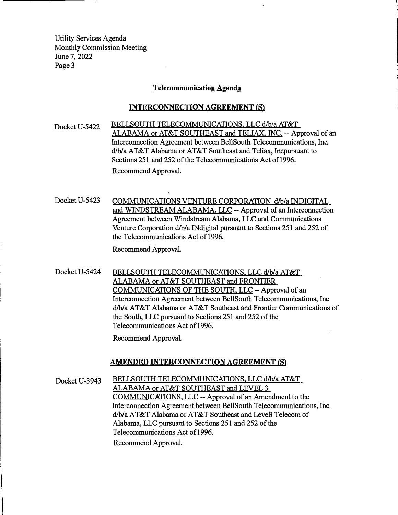#### **Telecommunication Agenda**

#### **INTERCONNECTION AGREEMENT (S)**

Docket U-5422 BELLSOUTH TELECOMMUNICATIONS, LLC d/b/a AT&T ALABAMA or AT&T SOUTHEAST and TELIAX, INC. -- Approval of an Interconnection Agreement between BellSouth Telecommunications, Inc. d/b/a AT&T Alabama or AT&T Southeast and Teliax, Incpursuant to Sections 251 and 252 of the Telecommunications Act of 1996. Recommend Approval.

Docket U-5423 COMMUNICATIONS VENTURE CORPORATION d/b/a INDIGITAL and WINDSTREAM ALABAMA, LLC -- Approval of an Interconnection Agreement between Windstream Alabama, LLC and Communications Venture Corporation d/b/a INdigital pursuant to Sections 251 and 252 of the Telecommunications Act of 1996.

Recommend Approval.

Docket U-5424 BELLSOUTH TELECOMMUNICATIONS, LLC d/b/a AT&T ALABAMA or AT&T SOUTHEAST and FRONTIER COMMUNICATIONS OF THE SOUTH, LLC -- Approval of an Interconnection Agreement between BellSouth Telecommunications, Inc. d/b/a AT&T Alabama or AT&T Southeast and Frontier Communications of the South, LLC pursuant to Sections 251 and 252 of the Telecommunications Act of 1996.

Recommend Approval.

#### **AMENDED INTERCONNECTION AGREEMENT (S)**

Docket U-3943 BELLSOUTH TELECOMMUNICATIONS, LLC d/b/a AT&T ALABAMA or AT&T SOUTHEAST and LEVEL 3 COMMUNICATIONS, LLC -- Approval of an Amendment to the Interconnection Agreement between BellSouth Telecommunications, Inc. d/b/a A T&T Alabama or AT&T Southeast and LeveB Telecom of Alabama, LLC pursuant to Sections 251 and 252 of the Telecommunications Act of 1996. Recommend Approval.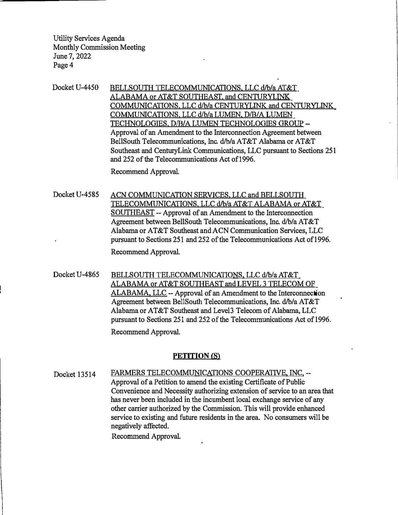Docket U-4450 BELLSOUTH TELECOMMUNICATIONS, LLC d/b/a AT&T ALABAMA or AT&T SOUTHEAST. and CENTURYLINK COMMUNICATIONS. LLC d/b/a CENTURYLINK and CENTURYLINK COMMUNICATIONS. LLC d/b/a LUMEN, D/B/A LUMEN TECHNOLOGIES. D/B/A LUMEN TECHNOLOGIES GROUP - Approval of an Amendment to the Interconnection Agreement between BellSouth Telecommunications, Inc. d/b/a AT&T Alabama or AT&T Southeast and CenturyLink Communications, LLC pursuant to Sections 251 and 252 of the Telecommunications Act of1996.

Recommend Approval

- Docket U-4585 ACN COMMUNICATION SERVICES, LLC and BELLSOUTH TELECOMMUNICATIONS. LLC d/b/a AT&T ALABAMA or AT&T SOUTHEAST -- Approval of an Amendment to the Interconnection Agreement between BellSouth Telecommunications, Inc. d/b/a AT&T Alabama or AT&T Southeast and ACN Communication Services, LLC pursuant to Sections 251 and 252 of the Telecommunications Act of 1996. Recommend Approval.
- Docket U-4865 BELLSOUTH TELECOMMUNICATIONS, LLC d/b/a AT&T ALABAMA or AT&T SOUTHEAST and LEVEL 3 TELECOM OF ALABAMA. LLC -- Approval of an Amendment to the Interconnection Agreement between BellSouth Telecommunications, Inc. d/b/a AT&T Alabama or AT&T Southeast and Level3 Telecom of Alabama, LLC pursuant to Sections 251 and 252 of the Telecommunications Act of 1996. Recommend Approval.

#### **PETITION (S)**

Docket 13514 FARMERS TELECOMMUNICATIONS COOPERATIVE, INC. --Approval of a Petition to amend the existing Certificate of Public Convenience and Necessity authorizing extension of service to an area that has never been included in the incumbent local exchange service of any other carrier authorized by the Commission. This will provide enhanced service to existing and future residents in the area. No consumers will be negatively affected.

Recommend Approval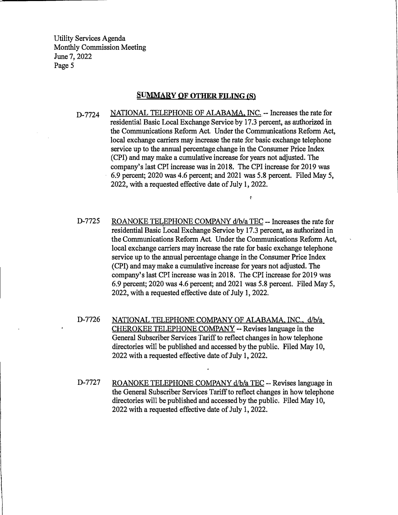#### **SUMMARY OF OTHER FILING (S)**

D-7724 NATIONAL TELEPHONE OF ALABAMA, INC. -- Increases the rate for residential Basic Local Exchange Service by 17.3 percent, as authorized in the Communications Reform Act. Under the Communications Reform Act, local exchange carriers may increase the rate for basic exchange telephone service up to the annual percentage. change in the Consumer Price Index (CPI) and may make a cumulative increase for years not adjusted. The company's last CPI increase was in 2018. The CPI increase for 2019 was 6.9 percent; 2020 was 4.6 percent; and 2021 was 5.8 percent. Filed May 5, 2022, with a requested effective date of July 1, 2022.

r·

- D-7725 ROANOKE TELEPHONE COMPANY d/b/a TEC -- Increases the rate for residential Basic Local Exchange Service by 17 .3 percent, as authorized in the Communications Reform Act Under the Communications Reform Act, local exchange carriers may increase the rate for basic exchange telephone service up to the annual percentage change in the Consumer Price Index (CPI) and may make a cumulative increase for years not adjusted. The company's last CPI increase was in 2018. The CPI increase for 2019 was 6.9 percent; 2020 was 4.6 percent; and 2021 was 5.8 percent. Filed May 5, 2022, with a requested effective date of July 1, 2022.
- D-7726 NATIONAL TELEPHONE COMPANY OF ALABAMA, INC., d/b/a CHEROKEE TELEPHONE COMPANY -- Revises language in the General Subscriber Services Tariff to reflect changes in how telephone directories will be published and accessed by the public. Filed May 10, 2022 with a requested effective date of July 1, 2022.
- D-7727 ROANOKE TELEPHONE COMPANY  $d/b/a$  TEC -- Revises language in the General Subscriber Services Tariff to reflect changes in how telephone directories will be published and accessed by the public. Filed May 10, 2022 with a requested effective date of July 1, 2022.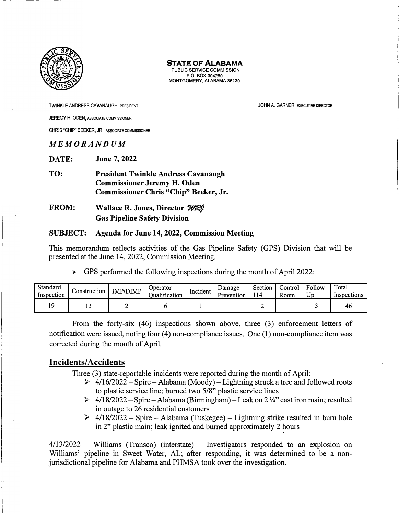

PUBLIC SERVICE COMMISSION P.O. BOX 304260 MONTGOMERY, ALABAMA 36130

TWINKLE ANDRESS CAVANAUGH, PRESIDENT JEREMY H. ODEN, ASSOCIATE COMMISSIONER CHRIS "CHIP" BEEKER, JR., ASSOCIATE COMMISSIONER

#### *MEMORANDUM*

**DATE: June 7, 2022** 

**TO: President Twinkle Andress Cavanaugh Commissioner Jeremy H. Oden Commissioner Chris "Chip" Beeker, Jr.** 

## **FROM:** Wallace R. Jones, Director  $W \mathbb{R}$ **Gas Pipeline Safety Division**

#### **SUBJECT: Agenda for June 14, 2022, Commission Meeting**

This memorandum reflects activities of the Gas Pipeline Safety (GPS) Division that will be presented at the June 14, 2022, Commission Meeting.

 $\triangleright$  GPS performed the following inspections during the month of April 2022:

| Standard<br>Inspection | Construction | <b>IMP/DIMP</b> | Operator<br><b>Dualification</b> | Incident | Damage<br>Prevention | Section<br>114 | Control<br>Room | Follow-<br>Up | Total<br>Inspections |
|------------------------|--------------|-----------------|----------------------------------|----------|----------------------|----------------|-----------------|---------------|----------------------|
|                        |              | -               |                                  |          |                      |                |                 |               | 46                   |

From the forty-six (46) inspections shown above, three (3) enforcement letters of notification were issued, noting four (4) non-compliance issues. One (1) non-compliance item was corrected during the month of April.

#### **Incidents/ Accidents**

Three (3) state-reportable incidents were reported during the month of April:

- $\triangleright$  4/16/2022 Spire Alabama (Moody) Lightning struck a tree and followed roots to plastic service line; burned two 5/8" plastic service lines
- $\geq 4/18/2022 Spire Alabama(Birmingham) Leak on 2\frac{1}{4}$  cast iron main; resulted in outage to 26 residential customers
- $\geq$  4/18/2022 Spire Alabama (Tuskegee) Lightning strike resulted in burn hole in 2" plastic main; leak ignited and burned approximately 2 hours

 $4/13/2022$  – Williams (Transco) (interstate) – Investigators responded to an explosion on Williams' pipeline in Sweet Water, AL; after responding, it was determined to be a nonjurisdictional pipeline for Alabama and PHMSA took over the investigation.

JOHN A. GARNER, EXECUTIVE DIRECTOR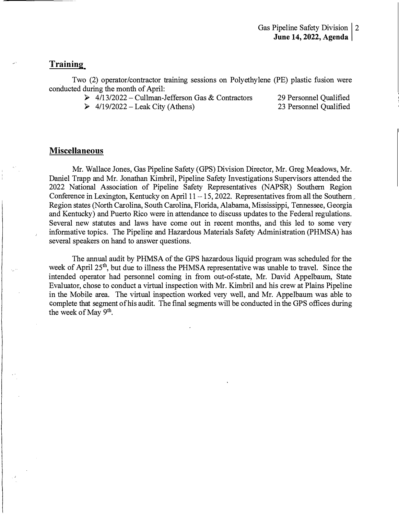#### **Training**

Two (2) operator/contractor training sessions on Polyethylene (PE) plastic fusion were conducted during the month of April:

- $\geq 4/13/2022$  Cullman-Jefferson Gas & Contractors
- $\geq 4/19/2022 -$  Leak City (Athens)

29 Personnel Qualified 23 Personnel Qualified

#### **Miscellaneous**

Mr. Wallace Jones, Gas Pipeline Safety (GPS) Division Director, Mr. Greg Meadows, Mr. Daniel Trapp and Mr. Jonathan Kimbril, Pipeline Safety Investigations Supervisors attended the 2022 National Association of Pipeline Safety Representatives (NAPSR) Southern Region Conference in Lexington, Kentucky on April  $11 - 15$ , 2022. Representatives from all the Southern Region states (North Carolina, South Carolina, Florida, Alabama, Mississippi, Tennessee, Georgia and Kentucky) and Puerto Rico were in attendance to discuss updates to the Federal regulations. Several new statutes and laws have come out in recent months, and this led to some very informative topics. The Pipeline and Hazardous Materials Safety Administration (PHMSA) has several speakers on hand to answer questions.

The annual audit by PHMSA of the GPS hazardous liquid program was scheduled for the week of April 25<sup>th</sup>, but due to illness the PHMSA representative was unable to travel. Since the intended operator had personnel coming in from out-of-state, Mr. David Appelbaum, State Evaluator, chose to conduct a virtual inspection with Mr. Kimbril and his crew at Plains Pipeline in the Mobile area. The virtual inspection worked very well, and Mr. Appelbaum was able to complete that segment of his audit. The final segments will be conducted in the GPS offices during the week of May  $9<sup>th</sup>$ .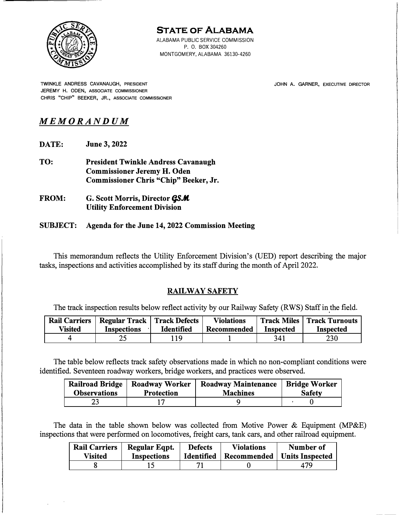

ALABAMA PUBLIC SERVICE COMMISSION P. 0. BOX 304260 MONTGOMERY, ALABAMA 36130-4260

TWINKLE ANDRESS CAVANAUGH, PRESIDENT JEREMY H. ODEN, ASSOCIATE COMMISSIONER CHRIS "CHIP" BEEKER, JR., ASSOCIATE COMMISSIONER JOHN A. GARNER, EXECUTIVE DIRECTOR

# *MEMORANDUM*

- **DATE: June 3, 2022**
- **TO: President Twinkle Andress Cavanaugh Commissioner Jeremy H. Oden Commissioner Chris "Chip" Beeker, Jr.**
- **FROM:** G. Scott Morris, Director *QS.M* **Utility Enforcement Division**

#### **SUBJECT: Agenda for the June 14, 2022 Commission Meeting**

This memorandum reflects the Utility Enforcement Division's (UED) report describing the major tasks, inspections and activities accomplished by its staff during the month of April 2022.

#### **RAILWAY SAFETY**

The track inspection results below reflect activity by our Railway Safety (RWS) Staff in the field.

| <b>Rail Carriers</b><br><b>Visited</b> | <b>Regular Track   Track Defects</b><br><b>Inspections</b> | <b>Identified</b> | <b>Violations</b><br>Recommended | <b>Inspected</b> | <b>Track Miles   Track Turnouts</b><br><b>Inspected</b> |
|----------------------------------------|------------------------------------------------------------|-------------------|----------------------------------|------------------|---------------------------------------------------------|
|                                        | າເ<br>ے کے                                                 | 1 Q               |                                  | 341              | 230                                                     |

The table below reflects track safety observations made in which no non-compliant conditions were identified. Seventeen roadway workers, bridge workers, and practices were observed.

| <b>Observations</b> | Railroad Bridge   Roadway Worker<br><b>Protection</b> | Roadway Maintenance   Bridge Worker<br><b>Machines</b> | <b>Safety</b> |
|---------------------|-------------------------------------------------------|--------------------------------------------------------|---------------|
|                     |                                                       |                                                        |               |

The data in the table shown below was collected from Motive Power  $\&$  Equipment (MP $\&$ E) inspections that were performed on locomotives, freight cars, tank cars, and other railroad equipment.

| <b>Rail Carriers</b> | Regular Eqpt.      | <b>Defects</b>    | <b>Violations</b>             | Number of |
|----------------------|--------------------|-------------------|-------------------------------|-----------|
| Visited              | <b>Inspections</b> | <b>Identified</b> | Recommended   Units Inspected |           |
|                      |                    | 7                 |                               | 479       |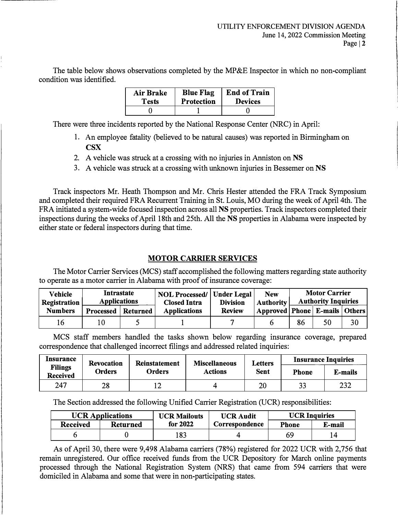The table below shows observations completed by the MP&E Inspector in which no non-compliant condition was identified.

| Air Brake    | <b>Blue Flag</b> | <b>End of Train</b> |
|--------------|------------------|---------------------|
| <b>Tests</b> | Protection       | <b>Devices</b>      |
|              |                  |                     |

There were three incidents reported by the National Response Center (NRC) in April:

- 1. An employee fatality (believed to be natural causes) was reported in Birmingham on **CSX**
- 2. A vehicle was struck at a crossing with no injuries in Anniston on **NS**
- 3. A vehicle was struck at a crossing with unknown injuries in Bessemer on **NS**

Track inspectors Mr. Heath Thompson and Mr. Chris Hester attended the FRA Track Symposium and completed their required FRA Recurrent Training in St. Louis, MO during the week of April 4th. The FRA initiated a system-wide focused inspection across all **NS** properties. Track inspectors completed their inspections during the weeks of April 18th and 25th. All the **NS** properties in Alabama were inspected by either state or federal inspectors during that time.

## **MOTOR CARRIER SERVICES**

The Motor Carrier Services (MCS) staff accomplished the following matters regarding state authority to operate as a motor carrier in Alabama with proof of insurance coverage:

| Vehicle<br>Registration | Intrastate<br><b>Applications</b> |          | <b>NOL Processed/   Under Legal</b><br><b>Closed Intra</b> | <b>Division</b> | <b>New</b><br><b>Authority</b>      |    | <b>Motor Carrier</b><br><b>Authority Inquiries</b> |    |
|-------------------------|-----------------------------------|----------|------------------------------------------------------------|-----------------|-------------------------------------|----|----------------------------------------------------|----|
| <b>Numbers</b>          | Processed                         | Returned | <b>Applications</b>                                        | <b>Review</b>   | Approved   Phone   E-mails   Others |    |                                                    |    |
|                         | 0                                 |          |                                                            |                 |                                     | 86 | 50                                                 | 30 |

MCS staff members handled the tasks shown below regarding insurance coverage, prepared correspondence that challenged incorrect filings and addressed related inquiries:

| Insurance                         | <b>Revocation</b><br>Orders | Reinstatement<br>Orders | <b>Miscellaneous</b><br>Actions | Letters<br>Sent | <b>Insurance Inquiries</b> |         |
|-----------------------------------|-----------------------------|-------------------------|---------------------------------|-----------------|----------------------------|---------|
| <b>Filings</b><br><b>Received</b> |                             |                         |                                 |                 | <b>Phone</b>               | E-mails |
| 247                               | 28                          | 1 ∠                     |                                 | 20              | 33                         | 232     |

The Section addressed the following Unified Carrier Registration (UCR) responsibilities:

| <b>UCR Applications</b> |                 | <b>UCR Mailouts</b> | <b>UCR Audit</b> | <b>UCR Inquiries</b> |        |
|-------------------------|-----------------|---------------------|------------------|----------------------|--------|
| Received                | <b>Returned</b> | for 2022            | Correspondence   | <b>Phone</b>         | E-mail |
|                         |                 | .83                 |                  | 69                   |        |

As of April 30, there were 9,498 Alabama carriers (78%) registered for 2022 UCR with 2,756 that remain unregistered. Our office received funds from the UCR Depository for March online payments processed through the National Registration System (NRS) that came from 594 carriers that were domiciled in Alabama and some that were in non-participating states.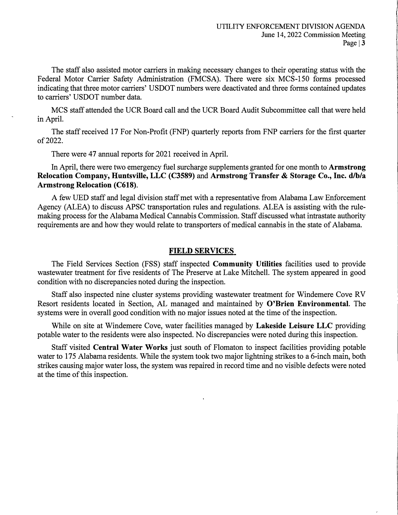The staff also assisted motor carriers in making necessary changes to their operating status with the Federal Motor Carrier Safety Administration (FMCSA). There were six MCS-150 forms processed indicating that three motor carriers' USDOT numbers were deactivated and three forms contained updates to carriers' USDOT number data.

MCS staff attended the UCR Board call and the UCR Board Audit Subcommittee call that were held in April.

The staff received 17 For Non-Profit (FNP) quarterly reports from FNP carriers for the first quarter of 2022.

There were 47 annual reports for 2021 received in April.

In April, there were two emergency fuel surcharge supplements granted for one month to **Armstrong Relocation Company, Huntsville, LLC (C3589) and Armstrong Transfer & Storage Co., Inc. d/b/a Armstrong Relocation (C618).** 

A few UED staff and legal division staff met with a representative from Alabama Law Enforcement Agency (ALEA) to discuss APSC transportation rules and regulations. ALEA is assisting with the rulemaking process for the Alabama Medical Cannabis Commission. Staff discussed what intrastate authority requirements are and how they would relate to transporters of medical cannabis in the state of Alabama.

#### **FIELD SERVICES**

The Field Services Section (PSS) staff inspected **Community Utilities** facilities used to provide wastewater treatment for five residents of The Preserve at Lake Mitchell. The system appeared in good condition with no discrepancies noted during the inspection.

Staff also inspected nine cluster systems providing wastewater treatment for Windemere Cove RV Resort residents located in Section, AL managed and maintained by **O'Brien Environmental.** The systems were in overall good condition with no major issues noted at the time of the inspection.

While on site at Windemere Cove, water facilities managed by **Lakeside Leisure LLC** providing potable water to the residents were also inspected. No discrepancies were noted during this inspection.

Staff visited **Central Water Works** just south of Flomaton to inspect facilities providing potable water to 175 Alabama residents. While the system took two major lightning strikes to a 6-inch main, both strikes causing major water loss, the system was repaired in record time and no visible defects were noted at the time of this inspection.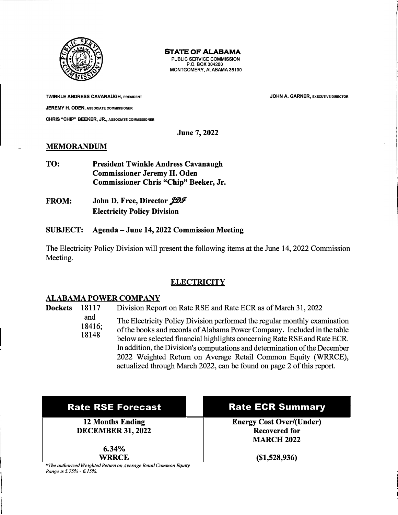

**PUBLIC SERVICE COMMISSION P.O. BOX 304260 MONTGOMERY, ALABAMA 36130** 

**TWINKLE ANDRESS CAVANAUGH, PRESIDENT JEREMY H. ODEN, ASSOCIATE COMMISSIONER CHRIS "CHIP" BEEKER, JR., ASSOCIATE COMMISSIONER**  **JOHN A. GARNER, EXECUTIVE DIRECTOR** 

**June 7, 2022** 

#### **MEMORANDUM**

- **TO: President Twinkle Andress Cavanaugh Commissioner Jeremy H. Oden Commissioner Chris "Chip" Beeker, Jr.**
- **FROM:**  John D. Free, Director *JDF* **Electricity Policy Division**

#### **SUBJECT: Agenda - June 14, 2022 Commission Meeting**

The Electricity Policy Division will present the following items at the June 14, 2022 Commission Meeting.

#### **ELECTRICITY**

#### **ALABAMA POWER COMPANY**

**Dockets** 18117 Division Report on Rate RSE and Rate ECR as of March 31, 2022

> and The Electricity Policy Division performed the regular monthly examination

> 18416; 18148 of the books and records of Alabama Power Company. Included **in** the table below are selected financial highlights concerning Rate RSE and Rate ECR. In addition, the Division's computations and determination of the December 2022 Weighted Return on Average Retail Common Equity (WRRCE), actualized through March 2022, can be found on page 2 of this report.

**12 Months Ending DECEMBER 31, 2022** 

> **6.34% WRRCE**

**Rate RSE Forecast II Rate ECR Summary** 

**Energy Cost Over/(Under) Recovered for MARCH 2022** 

**(\$1,528,936)** 

*\*The authorized Weighted Return on Average Retail Common Equity Range is 5.75%- 6.15%.*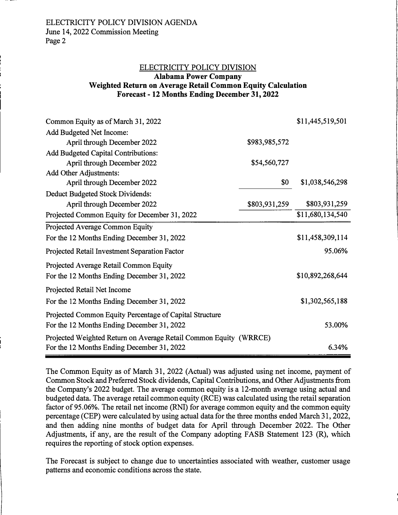# ELECTRICITY POLICY DIVISION **Alabama Power Company Weighted Return on Average Retail Common Equity Calculation**

**Forecast - 12 Months Ending December 31, 2022** 

| Common Equity as of March 31, 2022                                |                  | \$11,445,519,501 |
|-------------------------------------------------------------------|------------------|------------------|
| Add Budgeted Net Income:                                          |                  |                  |
| April through December 2022                                       | \$983,985,572    |                  |
| <b>Add Budgeted Capital Contributions:</b>                        |                  |                  |
| April through December 2022                                       | \$54,560,727     |                  |
| Add Other Adjustments:                                            |                  |                  |
| April through December 2022                                       | \$0              | \$1,038,546,298  |
| Deduct Budgeted Stock Dividends:                                  |                  |                  |
| April through December 2022                                       | \$803,931,259    | \$803,931,259    |
| Projected Common Equity for December 31, 2022                     |                  | \$11,680,134,540 |
| Projected Average Common Equity                                   |                  |                  |
| For the 12 Months Ending December 31, 2022                        |                  | \$11,458,309,114 |
| Projected Retail Investment Separation Factor                     |                  | 95.06%           |
| Projected Average Retail Common Equity                            |                  |                  |
| For the 12 Months Ending December 31, 2022                        | \$10,892,268,644 |                  |
| Projected Retail Net Income                                       |                  |                  |
| For the 12 Months Ending December 31, 2022                        |                  | \$1,302,565,188  |
| Projected Common Equity Percentage of Capital Structure           |                  |                  |
| For the 12 Months Ending December 31, 2022                        |                  | 53.00%           |
| Projected Weighted Return on Average Retail Common Equity (WRRCE) |                  |                  |
| For the 12 Months Ending December 31, 2022                        |                  | 6.34%            |

The Common Equity as of March 31, 2022 (Actual) was adjusted using net income, payment of Common Stock and Preferred Stock dividends, Capital Contributions, and Other Adjustments from the Company's 2022 budget. The average common equity is a 12-month average using actual and budgeted data. The average retail common equity (RCE) was calculated using the retail separation factor of 95.06%. The retail net income (RNI) for average common equity and the common equity percentage ( CEP) were calculated by using actual data for the three months ended March 31, 2022, and then adding nine months of budget data for April through December 2022. The Other Adjustments, if any, are the result of the Company adopting FASB Statement 123 (R), which requires the reporting of stock option expenses.

The Forecast is subject to change due to uncertainties associated with weather, customer usage patterns and economic conditions across the state.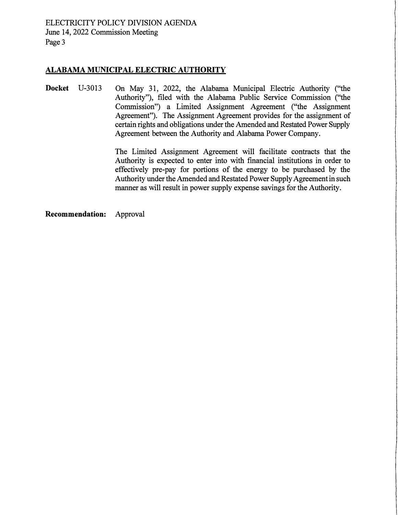ELECTRICITY POLICY DIVISION AGENDA June 14, 2022 Commission Meeting Page 3

#### **ALABAMA MUNICIPAL ELECTRIC AUTHORITY**

**Docket** U-3013 On May 31, 2022, the Alabama Municipal Electric Authority ("the Authority"), filed with the Alabama Public Service Commission ("the Commission") a Limited Assignment Agreement ("the Assignment Agreement"). The Assignment Agreement provides for the assignment of certain rights and obligations under the Amended and Restated Power Supply Agreement between the Authority and Alabama Power Company.

> The Limited Assignment Agreement will facilitate contracts that the Authority is expected to enter into with financial institutions in order to effectively pre-pay for portions of the energy to be purchased by the Authority under the Amended and Restated Power Supply Agreement in such manner as will result in power supply expense savings for the Authority.

**Recommendation:** Approval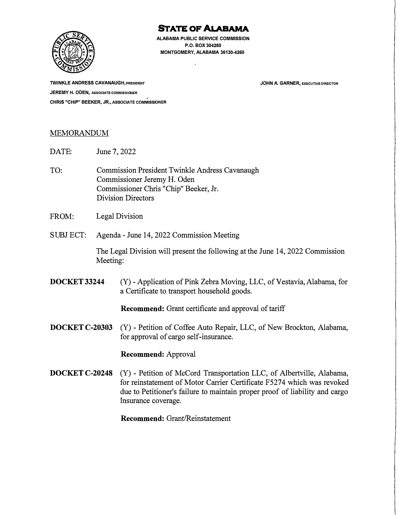

**ALABAMA PUBLIC SERVICE COMMISSION P.O. BOX 304260 MONTGOMERY, ALABAMA 36130-4260** 

**TWINKLE ANDRESS CAVANAUGH, PRESIDENT JEREMY H. ODEN, ASSOCIATECOMM ISSIONER CHRIS "CHIP" BEEKER, JR., ASSOCIATE COMMISSIONER**  **JOHN A. GARNER, EXECUTIVE DIRECTOR** 

#### MEMORANDUM

DATE: June 7, 2022

- TO: Commission President Twinkle Andress Cavanaugh Commissioner Jeremy H. Oden Commissioner Chris "Chip" Beeker, Jr. Division Directors
- FROM: Legal Division
- SUBJ ECT: Agenda June 14, 2022 Commission Meeting

The Legal Division will present the following at the June 14, 2022 Commission Meeting:

**DOCKET 33244** (Y) - Application of Pink Zebra Moving, LLC, of Vestavia, Alabama, for a Certificate to transport household goods.

**Recommend:** Grant certificate and approval of tariff

**DOCKET C-20303** (Y) - Petition of Coffee Auto Repair, LLC, of New Brockton, Alabama, for approval of cargo self-insurance.

**Recommend:** Approval

**DOCKET C-20248** (Y) - Petition of McCord Transportation LLC, of Albertville, Alabama, for reinstatement of Motor Carrier Certificate F5274 which was revoked due to Petitioner's failure to maintain proper proof of liability and cargo msurance coverage.

**Recommend:** Grant/Reinstatement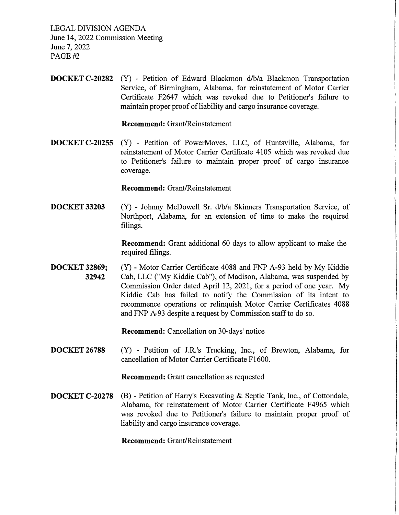LEGAL DIVISION AGENDA

June 14, 2022 Commission Meeting June 7, 2022 *PAGE-/f2* 

**DOCKET C-20282** (Y) - Petition of Edward Blackmon d/b/a Blackmon Transportation Service, of Birmingham, Alabama, for reinstatement of Motor Carrier Certificate F2647 which was revoked due to Petitioner's failure to maintain proper proof of liability and cargo insurance coverage.

**Recommend:** Grant/Reinstatement

**DOCKET C-20255** (Y) - Petition of PowerMoves, LLC, of Huntsville, Alabama, for reinstatement of Motor Carrier Certificate 4105 which was revoked due to Petitioner's failure to maintain proper proof of cargo insurance coverage.

**Recommend:** Grant/Reinstatement

**DOCKET 33203**  (Y) - Johnny McDowell Sr. d/b/a Skinners Transportation Service, of Northport, Alabama, for an extension of time to make the required filings.

> **Recommend:** Grant additional 60 days to allow applicant to make the required filings.

**DOCKET 32869; 32942**  (Y) - Motor Carrier Certificate 4088 and FNP A-93 held by My Kiddie Cab, LLC ("My Kiddie Cab"), of Madison, Alabama, was suspended by Commission Order dated April 12, 2021, for a period of one year. My Kiddie Cab has failed to notify the Commission of its intent to recommence operations or relinquish Motor Carrier Certificates 4088 and FNP A-93 despite a request by Commission staff to do so.

**Recommend:** Cancellation on 30-days' notice

**DOCKET 26788**  (Y) - Petition of J.R.'s Trucking, Inc., of Brewton, Alabama, for cancellation of Motor Carrier Certificate F1600.

**Recommend:** Grant cancellation as requested

**DOCKET C-20278** (B) - Petition of Harry's Excavating & Septic Tank, Inc., of Cottondale, Alabama, for reinstatement of Motor Carrier Certificate F4965 which was revoked due to Petitioner's failure to maintain proper proof of liability and cargo insurance coverage.

**Recommend:** Grant/Reinstatement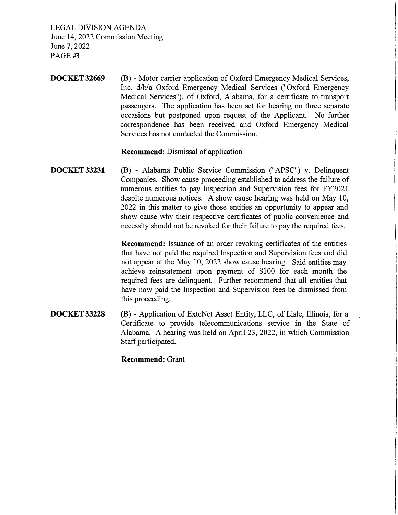LEGAL DIVISION AGENDA June 14, 2022 Commission Meeting June 7, 2022 PAGE#3

**DOCKET 32669**  (B) - Motor carrier application of Oxford Emergency Medical Services, Inc. d/b/a Oxford Emergency Medical Services ("Oxford Emergency Medical Services"), of Oxford, Alabama, for a certificate to transport passengers. The application has been set for hearing on three separate occasions but postponed upon request of the Applicant. No further correspondence has been received and Oxford Emergency Medical Services has not contacted the Commission.

**Recommend:** Dismissal of application

**DOCKET 33231**  (B) - Alabama Public Service Commission ("APSC") v. Delinquent Companies. Show cause proceeding established to address the failure of numerous entities to pay Inspection and Supervision fees for FY2021 despite numerous notices. A show cause hearing was held on May 10, 2022 in this matter to give those entities an opportunity to appear and show cause why their respective certificates of public convenience and necessity should not be revoked for their failure to pay the required fees.

> **Recommend:** Issuance of an order revoking certificates of the entities that have not paid the required Inspection and Supervision fees and did not appear at the May 10, 2022 show cause hearing. Said entities may achieve reinstatement upon payment of \$100 for each month the required fees are delinquent. Further recommend that all entities that have now paid the Inspection and Supervision fees be dismissed from this proceeding.

**DOCKET 33228**  (B) - Application of ExteNet Asset Entity, LLC, of Lisle, Illinois, for a Certificate to provide telecommunications service in the State of Alabama. A hearing was held on April 23, 2022, in which Commission Staff participated.

**Recommend:** Grant